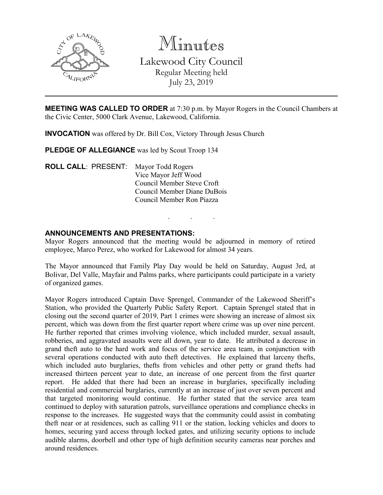

Minutes Lakewood City Council Regular Meeting held July 23, 2019

**MEETING WAS CALLED TO ORDER** at 7:30 p.m. by Mayor Rogers in the Council Chambers at the Civic Center, 5000 Clark Avenue, Lakewood, California.

**INVOCATION** was offered by Dr. Bill Cox, Victory Through Jesus Church

PLEDGE OF ALLEGIANCE was led by Scout Troop 134

**ROLL CALL**: PRESENT: Mayor Todd Rogers Vice Mayor Jeff Wood Council Member Steve Croft Council Member Diane DuBois Council Member Ron Piazza

### **ANNOUNCEMENTS AND PRESENTATIONS:**

Mayor Rogers announced that the meeting would be adjourned in memory of retired employee, Marco Perez, who worked for Lakewood for almost 34 years.

. . .

The Mayor announced that Family Play Day would be held on Saturday, August 3rd, at Bolivar, Del Valle, Mayfair and Palms parks, where participants could participate in a variety of organized games.

Mayor Rogers introduced Captain Dave Sprengel, Commander of the Lakewood Sheriff's Station, who provided the Quarterly Public Safety Report. Captain Sprengel stated that in closing out the second quarter of 2019, Part 1 crimes were showing an increase of almost six percent, which was down from the first quarter report where crime was up over nine percent. He further reported that crimes involving violence, which included murder, sexual assault, robberies, and aggravated assaults were all down, year to date. He attributed a decrease in grand theft auto to the hard work and focus of the service area team, in conjunction with several operations conducted with auto theft detectives. He explained that larceny thefts, which included auto burglaries, thefts from vehicles and other petty or grand thefts had increased thirteen percent year to date, an increase of one percent from the first quarter report. He added that there had been an increase in burglaries, specifically including residential and commercial burglaries, currently at an increase of just over seven percent and that targeted monitoring would continue. He further stated that the service area team continued to deploy with saturation patrols, surveillance operations and compliance checks in response to the increases. He suggested ways that the community could assist in combating theft near or at residences, such as calling 911 or the station, locking vehicles and doors to homes, securing yard access through locked gates, and utilizing security options to include audible alarms, doorbell and other type of high definition security cameras near porches and around residences.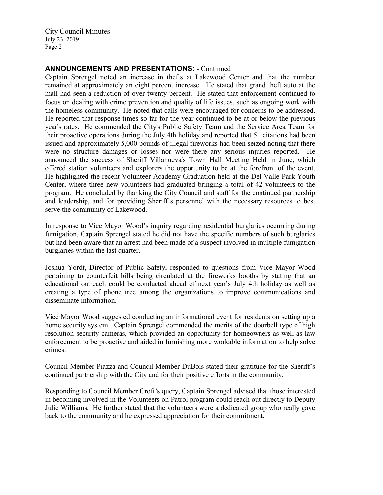City Council Minutes July 23, 2019 Page 2

# **ANNOUNCEMENTS AND PRESENTATIONS:** - Continued

Captain Sprengel noted an increase in thefts at Lakewood Center and that the number remained at approximately an eight percent increase. He stated that grand theft auto at the mall had seen a reduction of over twenty percent. He stated that enforcement continued to focus on dealing with crime prevention and quality of life issues, such as ongoing work with the homeless community. He noted that calls were encouraged for concerns to be addressed. He reported that response times so far for the year continued to be at or below the previous year's rates. He commended the City's Public Safety Team and the Service Area Team for their proactive operations during the July 4th holiday and reported that 51 citations had been issued and approximately 5,000 pounds of illegal fireworks had been seized noting that there were no structure damages or losses nor were there any serious injuries reported. He announced the success of Sheriff Villanueva's Town Hall Meeting Held in June, which offered station volunteers and explorers the opportunity to be at the forefront of the event. He highlighted the recent Volunteer Academy Graduation held at the Del Valle Park Youth Center, where three new volunteers had graduated bringing a total of 42 volunteers to the program. He concluded by thanking the City Council and staff for the continued partnership and leadership, and for providing Sheriff's personnel with the necessary resources to best serve the community of Lakewood.

In response to Vice Mayor Wood's inquiry regarding residential burglaries occurring during fumigation, Captain Sprengel stated he did not have the specific numbers of such burglaries but had been aware that an arrest had been made of a suspect involved in multiple fumigation burglaries within the last quarter.

Joshua Yordt, Director of Public Safety, responded to questions from Vice Mayor Wood pertaining to counterfeit bills being circulated at the fireworks booths by stating that an educational outreach could be conducted ahead of next year's July 4th holiday as well as creating a type of phone tree among the organizations to improve communications and disseminate information.

Vice Mayor Wood suggested conducting an informational event for residents on setting up a home security system. Captain Sprengel commended the merits of the doorbell type of high resolution security cameras, which provided an opportunity for homeowners as well as law enforcement to be proactive and aided in furnishing more workable information to help solve crimes.

Council Member Piazza and Council Member DuBois stated their gratitude for the Sheriff's continued partnership with the City and for their positive efforts in the community.

Responding to Council Member Croft's query, Captain Sprengel advised that those interested in becoming involved in the Volunteers on Patrol program could reach out directly to Deputy Julie Williams. He further stated that the volunteers were a dedicated group who really gave back to the community and he expressed appreciation for their commitment.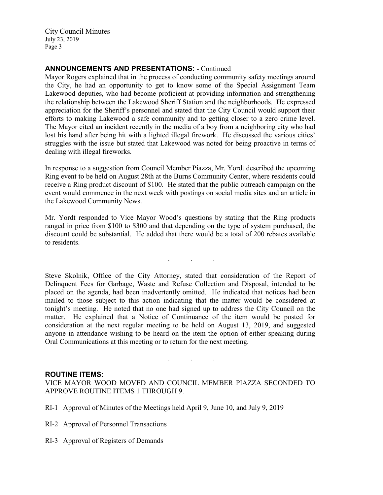City Council Minutes July 23, 2019 Page 3

# **ANNOUNCEMENTS AND PRESENTATIONS:** - Continued

Mayor Rogers explained that in the process of conducting community safety meetings around the City, he had an opportunity to get to know some of the Special Assignment Team Lakewood deputies, who had become proficient at providing information and strengthening the relationship between the Lakewood Sheriff Station and the neighborhoods. He expressed appreciation for the Sheriff's personnel and stated that the City Council would support their efforts to making Lakewood a safe community and to getting closer to a zero crime level. The Mayor cited an incident recently in the media of a boy from a neighboring city who had lost his hand after being hit with a lighted illegal firework. He discussed the various cities' struggles with the issue but stated that Lakewood was noted for being proactive in terms of dealing with illegal fireworks.

In response to a suggestion from Council Member Piazza, Mr. Yordt described the upcoming Ring event to be held on August 28th at the Burns Community Center, where residents could receive a Ring product discount of \$100. He stated that the public outreach campaign on the event would commence in the next week with postings on social media sites and an article in the Lakewood Community News.

Mr. Yordt responded to Vice Mayor Wood's questions by stating that the Ring products ranged in price from \$100 to \$300 and that depending on the type of system purchased, the discount could be substantial. He added that there would be a total of 200 rebates available to residents.

. . .

Steve Skolnik, Office of the City Attorney, stated that consideration of the Report of Delinquent Fees for Garbage, Waste and Refuse Collection and Disposal, intended to be placed on the agenda, had been inadvertently omitted. He indicated that notices had been mailed to those subject to this action indicating that the matter would be considered at tonight's meeting. He noted that no one had signed up to address the City Council on the matter. He explained that a Notice of Continuance of the item would be posted for consideration at the next regular meeting to be held on August 13, 2019, and suggested anyone in attendance wishing to be heard on the item the option of either speaking during Oral Communications at this meeting or to return for the next meeting.

### **ROUTINE ITEMS:**

VICE MAYOR WOOD MOVED AND COUNCIL MEMBER PIAZZA SECONDED TO APPROVE ROUTINE ITEMS 1 THROUGH 9.

. . .

- RI-1 Approval of Minutes of the Meetings held April 9, June 10, and July 9, 2019
- RI-2 Approval of Personnel Transactions
- RI-3 Approval of Registers of Demands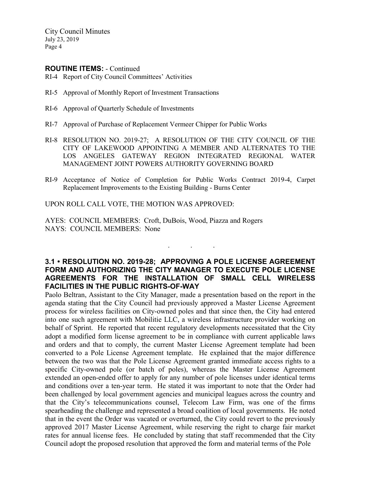City Council Minutes July 23, 2019 Page 4

#### **ROUTINE ITEMS:** - Continued

- RI-4 Report of City Council Committees' Activities
- RI-5 Approval of Monthly Report of Investment Transactions
- RI-6 Approval of Quarterly Schedule of Investments
- RI-7 Approval of Purchase of Replacement Vermeer Chipper for Public Works
- RI-8 RESOLUTION NO. 2019-27; A RESOLUTION OF THE CITY COUNCIL OF THE CITY OF LAKEWOOD APPOINTING A MEMBER AND ALTERNATES TO THE LOS ANGELES GATEWAY REGION INTEGRATED REGIONAL WATER MANAGEMENT JOINT POWERS AUTHORITY GOVERNING BOARD
- RI-9 Acceptance of Notice of Completion for Public Works Contract 2019-4, Carpet Replacement Improvements to the Existing Building - Burns Center

UPON ROLL CALL VOTE, THE MOTION WAS APPROVED:

AYES: COUNCIL MEMBERS: Croft, DuBois, Wood, Piazza and Rogers NAYS: COUNCIL MEMBERS: None

# **3.1 • RESOLUTION NO. 2019-28; APPROVING A POLE LICENSE AGREEMENT FORM AND AUTHORIZING THE CITY MANAGER TO EXECUTE POLE LICENSE AGREEMENTS FOR THE INSTALLATION OF SMALL CELL WIRELESS FACILITIES IN THE PUBLIC RIGHTS-OF-WAY**

. . .

Paolo Beltran, Assistant to the City Manager, made a presentation based on the report in the agenda stating that the City Council had previously approved a Master License Agreement process for wireless facilities on City-owned poles and that since then, the City had entered into one such agreement with Mobilitie LLC, a wireless infrastructure provider working on behalf of Sprint. He reported that recent regulatory developments necessitated that the City adopt a modified form license agreement to be in compliance with current applicable laws and orders and that to comply, the current Master License Agreement template had been converted to a Pole License Agreement template. He explained that the major difference between the two was that the Pole License Agreement granted immediate access rights to a specific City-owned pole (or batch of poles), whereas the Master License Agreement extended an open-ended offer to apply for any number of pole licenses under identical terms and conditions over a ten-year term. He stated it was important to note that the Order had been challenged by local government agencies and municipal leagues across the country and that the City's telecommunications counsel, Telecom Law Firm, was one of the firms spearheading the challenge and represented a broad coalition of local governments. He noted that in the event the Order was vacated or overturned, the City could revert to the previously approved 2017 Master License Agreement, while reserving the right to charge fair market rates for annual license fees. He concluded by stating that staff recommended that the City Council adopt the proposed resolution that approved the form and material terms of the Pole